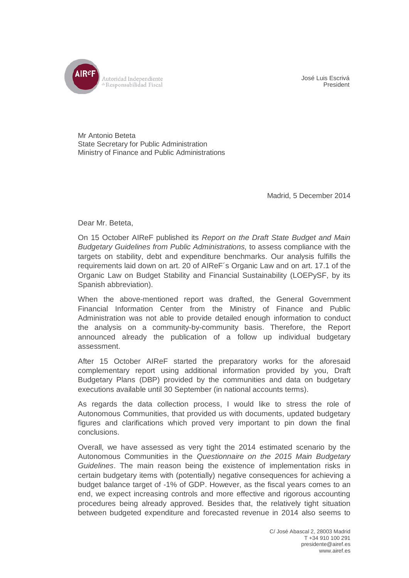

José Luis Escrivá President

Mr Antonio Beteta State Secretary for Public Administration Ministry of Finance and Public Administrations

Madrid, 5 December 2014

Dear Mr. Beteta,

On 15 October AIReF published its *Report on the Draft State Budget and Main Budgetary Guidelines from Public Administrations,* to assess compliance with the targets on stability, debt and expenditure benchmarks. Our analysis fulfills the requirements laid down on art. 20 of AIReF´s Organic Law and on art. 17.1 of the Organic Law on Budget Stability and Financial Sustainability (LOEPySF, by its Spanish abbreviation).

When the above-mentioned report was drafted, the General Government Financial Information Center from the Ministry of Finance and Public Administration was not able to provide detailed enough information to conduct the analysis on a community-by-community basis. Therefore, the Report announced already the publication of a follow up individual budgetary assessment.

After 15 October AIReF started the preparatory works for the aforesaid complementary report using additional information provided by you, Draft Budgetary Plans (DBP) provided by the communities and data on budgetary executions available until 30 September (in national accounts terms).

As regards the data collection process, I would like to stress the role of Autonomous Communities, that provided us with documents, updated budgetary figures and clarifications which proved very important to pin down the final conclusions.

Overall, we have assessed as very tight the 2014 estimated scenario by the Autonomous Communities in the *Questionnaire on the 2015 Main Budgetary Guidelines*. The main reason being the existence of implementation risks in certain budgetary items with (potentially) negative consequences for achieving a budget balance target of -1% of GDP. However, as the fiscal years comes to an end, we expect increasing controls and more effective and rigorous accounting procedures being already approved. Besides that, the relatively tight situation between budgeted expenditure and forecasted revenue in 2014 also seems to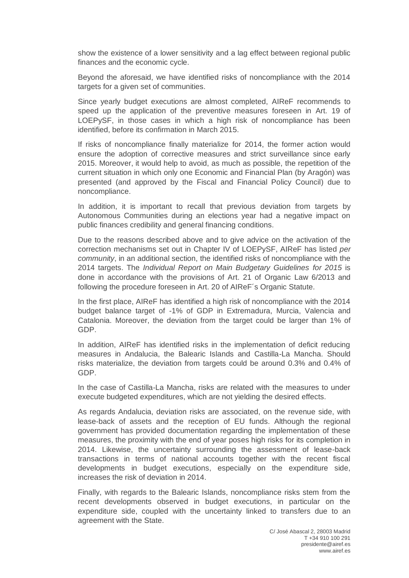show the existence of a lower sensitivity and a lag effect between regional public finances and the economic cycle.

Beyond the aforesaid, we have identified risks of noncompliance with the 2014 targets for a given set of communities.

Since yearly budget executions are almost completed, AIReF recommends to speed up the application of the preventive measures foreseen in Art. 19 of LOEPySF, in those cases in which a high risk of noncompliance has been identified, before its confirmation in March 2015.

If risks of noncompliance finally materialize for 2014, the former action would ensure the adoption of corrective measures and strict surveillance since early 2015. Moreover, it would help to avoid, as much as possible, the repetition of the current situation in which only one Economic and Financial Plan (by Aragón) was presented (and approved by the Fiscal and Financial Policy Council) due to noncompliance.

In addition, it is important to recall that previous deviation from targets by Autonomous Communities during an elections year had a negative impact on public finances credibility and general financing conditions.

Due to the reasons described above and to give advice on the activation of the correction mechanisms set out in Chapter IV of LOEPySF, AIReF has listed *per community*, in an additional section, the identified risks of noncompliance with the 2014 targets. The *Individual Report on Main Budgetary Guidelines for 2015* is done in accordance with the provisions of Art. 21 of Organic Law 6/2013 and following the procedure foreseen in Art. 20 of AIReF´s Organic Statute.

In the first place, AIReF has identified a high risk of noncompliance with the 2014 budget balance target of -1% of GDP in Extremadura, Murcia, Valencia and Catalonia. Moreover, the deviation from the target could be larger than 1% of GDP.

In addition, AIReF has identified risks in the implementation of deficit reducing measures in Andalucia, the Balearic Islands and Castilla-La Mancha. Should risks materialize, the deviation from targets could be around 0.3% and 0.4% of GDP.

In the case of Castilla-La Mancha, risks are related with the measures to under execute budgeted expenditures, which are not yielding the desired effects.

As regards Andalucia, deviation risks are associated, on the revenue side, with lease-back of assets and the reception of EU funds. Although the regional government has provided documentation regarding the implementation of these measures, the proximity with the end of year poses high risks for its completion in 2014. Likewise, the uncertainty surrounding the assessment of lease-back transactions in terms of national accounts together with the recent fiscal developments in budget executions, especially on the expenditure side, increases the risk of deviation in 2014.

Finally, with regards to the Balearic Islands, noncompliance risks stem from the recent developments observed in budget executions, in particular on the expenditure side, coupled with the uncertainty linked to transfers due to an agreement with the State.